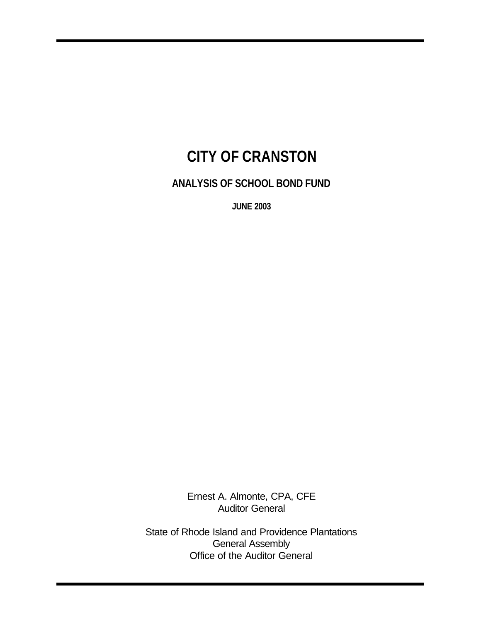# **CITY OF CRANSTON**

**ANALYSIS OF SCHOOL BOND FUND**

**JUNE 2003** 

Ernest A. Almonte, CPA, CFE Auditor General

State of Rhode Island and Providence Plantations General Assembly Office of the Auditor General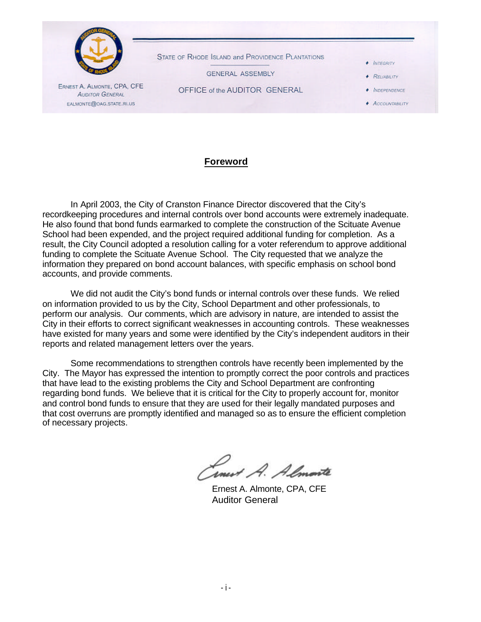

### **Foreword**

In April 2003, the City of Cranston Finance Director discovered that the City's recordkeeping procedures and internal controls over bond accounts were extremely inadequate. He also found that bond funds earmarked to complete the construction of the Scituate Avenue School had been expended, and the project required additional funding for completion. As a result, the City Council adopted a resolution calling for a voter referendum to approve additional funding to complete the Scituate Avenue School. The City requested that we analyze the information they prepared on bond account balances, with specific emphasis on school bond accounts, and provide comments.

We did not audit the City's bond funds or internal controls over these funds. We relied on information provided to us by the City, School Department and other professionals, to perform our analysis. Our comments, which are advisory in nature, are intended to assist the City in their efforts to correct significant weaknesses in accounting controls. These weaknesses have existed for many years and some were identified by the City's independent auditors in their reports and related management letters over the years.

Some recommendations to strengthen controls have recently been implemented by the City. The Mayor has expressed the intention to promptly correct the poor controls and practices that have lead to the existing problems the City and School Department are confronting regarding bond funds. We believe that it is critical for the City to properly account for, monitor and control bond funds to ensure that they are used for their legally mandated purposes and that cost overruns are promptly identified and managed so as to ensure the efficient completion of necessary projects.

Smert A. Almonte

Ernest A. Almonte, CPA, CFE Auditor General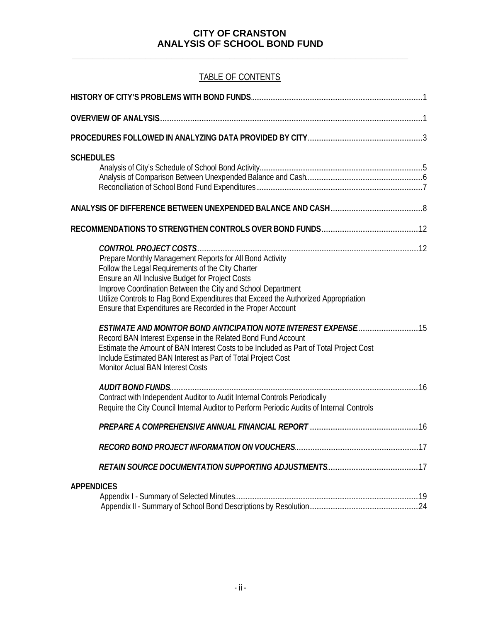**\_\_\_\_\_\_\_\_\_\_\_\_\_\_\_\_\_\_\_\_\_\_\_\_\_\_\_\_\_\_\_\_\_\_\_\_\_\_\_\_\_\_\_\_\_\_\_\_\_\_\_\_\_\_\_\_\_\_\_\_\_\_\_\_**

## TABLE OF CONTENTS

| <b>SCHEDULES</b>                                                                                                                                                                                                                                                                                                                                                                       |  |
|----------------------------------------------------------------------------------------------------------------------------------------------------------------------------------------------------------------------------------------------------------------------------------------------------------------------------------------------------------------------------------------|--|
|                                                                                                                                                                                                                                                                                                                                                                                        |  |
|                                                                                                                                                                                                                                                                                                                                                                                        |  |
| Prepare Monthly Management Reports for All Bond Activity<br>Follow the Legal Requirements of the City Charter<br>Ensure an All Inclusive Budget for Project Costs<br>Improve Coordination Between the City and School Department<br>Utilize Controls to Flag Bond Expenditures that Exceed the Authorized Appropriation<br>Ensure that Expenditures are Recorded in the Proper Account |  |
| Record BAN Interest Expense in the Related Bond Fund Account<br>Estimate the Amount of BAN Interest Costs to be Included as Part of Total Project Cost<br>Include Estimated BAN Interest as Part of Total Project Cost<br><b>Monitor Actual BAN Interest Costs</b>                                                                                                                     |  |
| Contract with Independent Auditor to Audit Internal Controls Periodically<br>Require the City Council Internal Auditor to Perform Periodic Audits of Internal Controls                                                                                                                                                                                                                 |  |
|                                                                                                                                                                                                                                                                                                                                                                                        |  |
|                                                                                                                                                                                                                                                                                                                                                                                        |  |
|                                                                                                                                                                                                                                                                                                                                                                                        |  |
| <b>APPENDICES</b>                                                                                                                                                                                                                                                                                                                                                                      |  |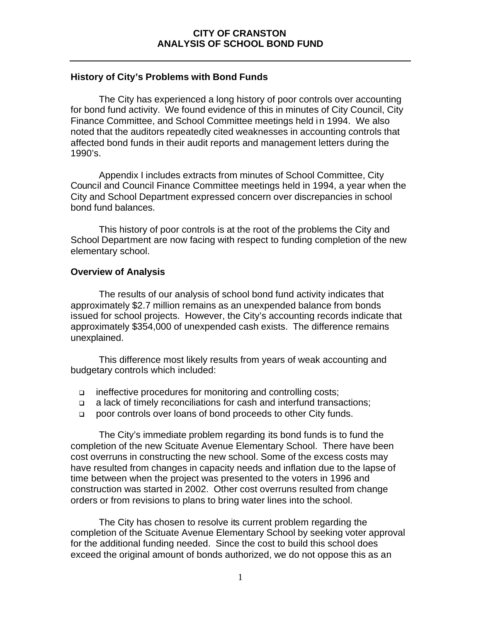### **History of City's Problems with Bond Funds**

The City has experienced a long history of poor controls over accounting for bond fund activity. We found evidence of this in minutes of City Council, City Finance Committee, and School Committee meetings held in 1994. We also noted that the auditors repeatedly cited weaknesses in accounting controls that affected bond funds in their audit reports and management letters during the 1990's.

Appendix I includes extracts from minutes of School Committee, City Council and Council Finance Committee meetings held in 1994, a year when the City and School Department expressed concern over discrepancies in school bond fund balances.

This history of poor controls is at the root of the problems the City and School Department are now facing with respect to funding completion of the new elementary school.

### **Overview of Analysis**

The results of our analysis of school bond fund activity indicates that approximately \$2.7 million remains as an unexpended balance from bonds issued for school projects. However, the City's accounting records indicate that approximately \$354,000 of unexpended cash exists. The difference remains unexplained.

This difference most likely results from years of weak accounting and budgetary controls which included:

- <sup>q</sup> ineffective procedures for monitoring and controlling costs;
- <sup>q</sup> a lack of timely reconciliations for cash and interfund transactions;
- **poor controls over loans of bond proceeds to other City funds.**

The City's immediate problem regarding its bond funds is to fund the completion of the new Scituate Avenue Elementary School. There have been cost overruns in constructing the new school. Some of the excess costs may have resulted from changes in capacity needs and inflation due to the lapse of time between when the project was presented to the voters in 1996 and construction was started in 2002. Other cost overruns resulted from change orders or from revisions to plans to bring water lines into the school.

The City has chosen to resolve its current problem regarding the completion of the Scituate Avenue Elementary School by seeking voter approval for the additional funding needed. Since the cost to build this school does exceed the original amount of bonds authorized, we do not oppose this as an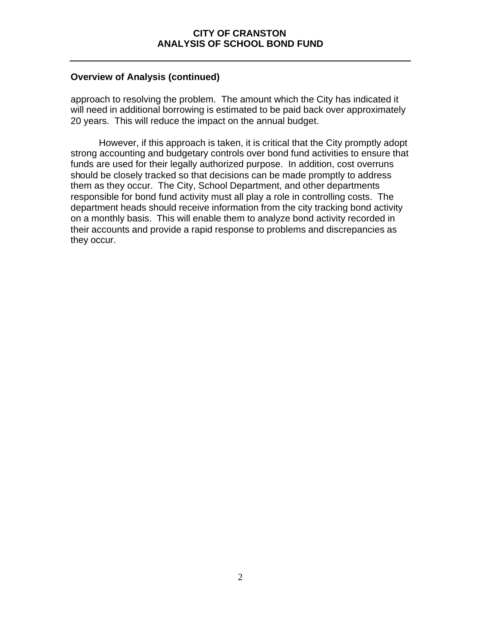### **Overview of Analysis (continued)**

approach to resolving the problem. The amount which the City has indicated it will need in additional borrowing is estimated to be paid back over approximately 20 years. This will reduce the impact on the annual budget.

However, if this approach is taken, it is critical that the City promptly adopt strong accounting and budgetary controls over bond fund activities to ensure that funds are used for their legally authorized purpose. In addition, cost overruns should be closely tracked so that decisions can be made promptly to address them as they occur. The City, School Department, and other departments responsible for bond fund activity must all play a role in controlling costs. The department heads should receive information from the city tracking bond activity on a monthly basis. This will enable them to analyze bond activity recorded in their accounts and provide a rapid response to problems and discrepancies as they occur.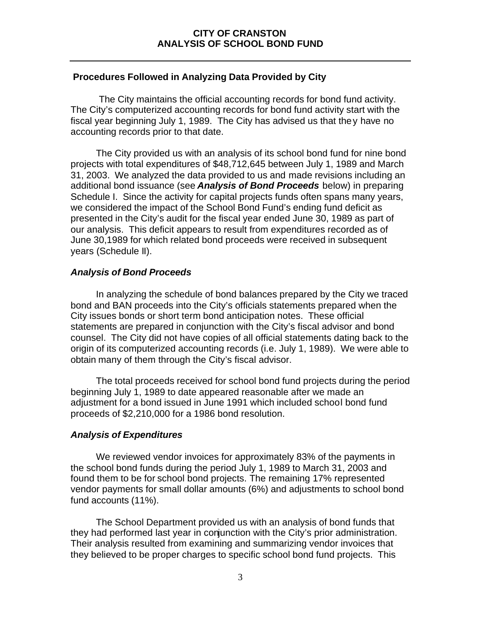### **Procedures Followed in Analyzing Data Provided by City**

The City maintains the official accounting records for bond fund activity. The City's computerized accounting records for bond fund activity start with the fiscal year beginning July 1, 1989. The City has advised us that they have no accounting records prior to that date.

The City provided us with an analysis of its school bond fund for nine bond projects with total expenditures of \$48,712,645 between July 1, 1989 and March 31, 2003. We analyzed the data provided to us and made revisions including an additional bond issuance (see *Analysis of Bond Proceeds* below) in preparing Schedule I. Since the activity for capital projects funds often spans many years, we considered the impact of the School Bond Fund's ending fund deficit as presented in the City's audit for the fiscal year ended June 30, 1989 as part of our analysis. This deficit appears to result from expenditures recorded as of June 30,1989 for which related bond proceeds were received in subsequent years (Schedule II).

### *Analysis of Bond Proceeds*

In analyzing the schedule of bond balances prepared by the City we traced bond and BAN proceeds into the City's officials statements prepared when the City issues bonds or short term bond anticipation notes. These official statements are prepared in conjunction with the City's fiscal advisor and bond counsel. The City did not have copies of all official statements dating back to the origin of its computerized accounting records (i.e. July 1, 1989). We were able to obtain many of them through the City's fiscal advisor.

The total proceeds received for school bond fund projects during the period beginning July 1, 1989 to date appeared reasonable after we made an adjustment for a bond issued in June 1991 which included school bond fund proceeds of \$2,210,000 for a 1986 bond resolution.

### *Analysis of Expenditures*

We reviewed vendor invoices for approximately 83% of the payments in the school bond funds during the period July 1, 1989 to March 31, 2003 and found them to be for school bond projects. The remaining 17% represented vendor payments for small dollar amounts (6%) and adjustments to school bond fund accounts (11%).

The School Department provided us with an analysis of bond funds that they had performed last year in conjunction with the City's prior administration. Their analysis resulted from examining and summarizing vendor invoices that they believed to be proper charges to specific school bond fund projects. This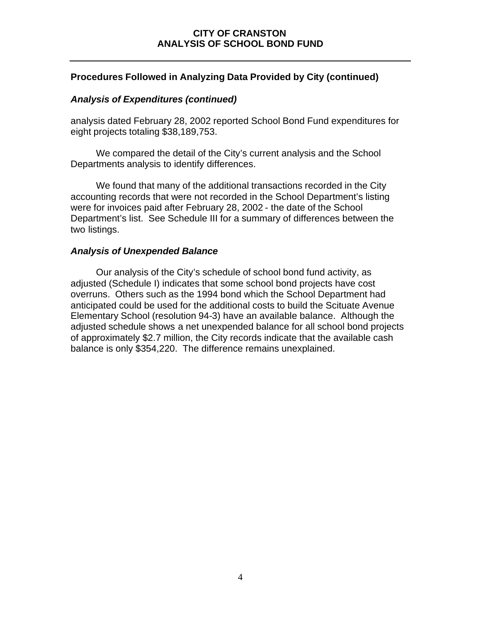### **Procedures Followed in Analyzing Data Provided by City (continued)**

### *Analysis of Expenditures (continued)*

analysis dated February 28, 2002 reported School Bond Fund expenditures for eight projects totaling \$38,189,753.

We compared the detail of the City's current analysis and the School Departments analysis to identify differences.

We found that many of the additional transactions recorded in the City accounting records that were not recorded in the School Department's listing were for invoices paid after February 28, 2002 - the date of the School Department's list. See Schedule III for a summary of differences between the two listings.

### *Analysis of Unexpended Balance*

Our analysis of the City's schedule of school bond fund activity, as adjusted (Schedule I) indicates that some school bond projects have cost overruns. Others such as the 1994 bond which the School Department had anticipated could be used for the additional costs to build the Scituate Avenue Elementary School (resolution 94-3) have an available balance. Although the adjusted schedule shows a net unexpended balance for all school bond projects of approximately \$2.7 million, the City records indicate that the available cash balance is only \$354,220. The difference remains unexplained.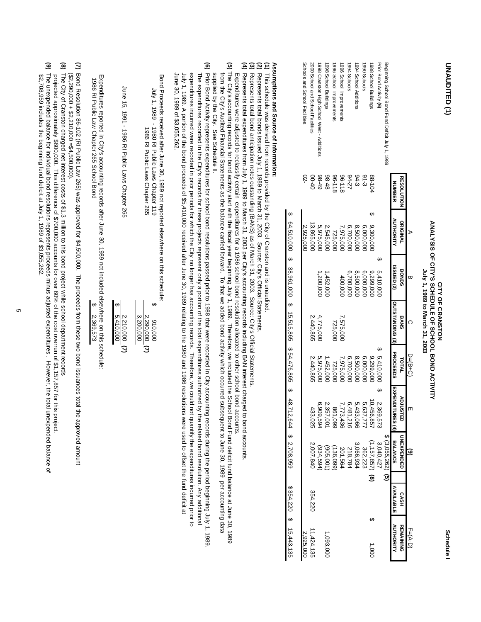| ſ<br>Í |
|--------|
|        |
|        |
|        |
|        |
|        |
|        |
|        |
|        |

# ANALYSIS OF CITY'S SCHEDULE OF SCHOOL BOND ACTIVITY **ANALYSIS OF CITY'S SCHEDULE OF SCHOOL BOND ACTIVITY**  July 1, 1989 to March 31, 2003 **July 1, 1989 to March 31, 2003** CITY OF CRANSTON **CITY OF CRANSTON**

**UNAUDITED (1)**

UNAUDITED (1)

|                                                 |                        | ℷ                | ᢍ                     | റ               | $D=(B+C)$       |                                                                                           | $\widehat{\mathbf{e}}$ |                  | F=(A-D)                  |
|-------------------------------------------------|------------------------|------------------|-----------------------|-----------------|-----------------|-------------------------------------------------------------------------------------------|------------------------|------------------|--------------------------|
|                                                 | <b>RESOLUTION</b>      | <b>ORIGINAL</b>  | <b>BONDS</b>          | <b>BANS</b>     | TOTAL           | <b>ADJUS</b><br>핑                                                                         | <b>UNEXPENDED</b>      | <b>CASH</b>      | <b>REMAINING</b>         |
|                                                 | <b>NUMBER</b>          | <b>AUTHORITY</b> | ISSUED <sub>(2)</sub> | OUTSTANDING (3) | <b>PROCEEDS</b> | <b>EXPENDITURES (4)</b>                                                                   | <b>BALANCE</b>         | <b>AVAILABLE</b> | <b>AUTHORITY</b>         |
| Beginning School Bond Fund Deficit 1uly 1, 1989 |                        |                  |                       |                 |                 |                                                                                           | $$(3,055,262)$ (5)     |                  |                          |
| Prior Bond Activity (6)                         |                        |                  | 5,410,000             |                 | 5,410,000       | ഗ<br>2,369,573                                                                            | 3,040,427              |                  |                          |
| 1988 School Buildings                           | 88-10<                 | 9,300,00         | 9,299,00              |                 | 9,299,00        | 10,456,857                                                                                | (1, 157, 857)          | $\circ$          | 1,000                    |
| 1990 Schools                                    | $6 - 3$                | 6,000,000        | 6,000,000             |                 | 6,000,00        | 5,637,777                                                                                 | 362,223                |                  |                          |
| 1994 School Additions                           | $94 - 27$<br>$94 - 27$ | 8,500,000        | 8,500,000             |                 | 8,500,000       | 5,433,066                                                                                 | 3,066,934              |                  |                          |
| 1994 Schools                                    |                        | 6,700,000        | 6,700,000             |                 | 6,700,000       | 6,481,216                                                                                 | 218,784                |                  |                          |
| 1996 School Improvements                        | 811-96                 | 7,975,000        | 400,000               | 7,575,000       | 7,975,000       | 7,773,436                                                                                 | 201,564                |                  |                          |
| 1996 School Improvements                        | 96-118                 | 725,000          |                       | 725,000         | 725,000         | 861,099                                                                                   | (136,099)              |                  |                          |
| 1998 School Buildings                           |                        | 2,545,000        | 1,452,000             |                 | 1,452,00        | 2,357,001                                                                                 | (905,001)              |                  | l,093,000                |
| 1998 Cranston High School West - Additions      | $8 + 48$<br>$8 - 49$   | 5,975,000        | 1,200,000             | 4,775,000       | 5,975,000       | 6,909,594                                                                                 | (934,594               |                  |                          |
| 2000 School and School Facilities               | $00 - 40$              | 13,865,000       |                       | 2,440,865       | 2,440,865       | 433,025                                                                                   | 2,007,840              | 354,220          | 11,424,135               |
| Schools and School Facilities                   |                        | 2,925,000        |                       |                 |                 |                                                                                           |                        |                  | 2,925,000                |
|                                                 |                        |                  |                       |                 |                 | \$ 64,510,000 \$ 38,961,264 \$ 48,7476,865 \$ 48,7476,866 \$ 48,71216,99,999 \$ 2,708,999 |                        |                  | $$354,220$ \$ 15,443,135 |

# **Assumptions and Source of Information:**

- **(1) (2) (3) (4)**  This schedule was derived from records provided by the City of Cranston and is unaudited. This schedule was derived from records provided by the City of Cranston and is unaudited.
- Represents total bonds issued July 1, 1989 to March 31, 2003. Source: City's Official Statements.
- Represents total bond anticipation notes outstanding (BANS) as of March 31, 2003. Source: City's Official Statements.
- Represents total expenditures from July 1, 1989 to March 31, 2003 per City's accounting records including BAN interest charged to bond accounts.
- Expenditures were adjusted to reclassify certain expenditures for a 1986 school bond resolution allocated to other school bond accounts. Expenditures were adjusted to reclassify certain expenditures for a 1986 school bond resolution allocated to other school bond accounts.
- (5) The City's accounting records for bond activity start with the fiscal year beginning July 1, 1989. Therefore, we included the School Bond Fund deficit fund balance at June 30, 1989 supplied by the City. See Schedule II. from the City's Audited Financial Statements as the balance carried forward. To that we added bond activity which occurred subsequent to June 30, 1989 per accounting data The City's accounting records forms for the funded the School Bond in the force of the force of the force of the force of the figure of the figure of the figure of the 1989. The City's school Bond of the School Bond Balanc from the City's Audited Financial Statements as the balance carried forward. To that we added bond activity which occurred subsequent to June 30, 1989 per accounting data
- (6) A 10-10 popical the Outer Schadule In Denion Debased Subsets on the Application of Sagary City, 1989 and the Orich Indical orich and were recorded in City account on that were recording recording the Orich Indical Oric June 30, 1989 of \$3,055,262.  $J_{\rm L}$  1, 1989. A portion of the bond proceeds of \$1,210,000 received after June 30, 1989 relating to the 1980 and 1986 resolutions were used to off the fund deficit at a portion of the proceeds of \$1,410,000 received a expenditures incurred were recorded in prior periods for which the City no longer has accounting records. Therefore, we could not quantify the expenditures incurred prior to include the expenditures for  $\frac{1}{2}$ The expenditures records for these projects represent only a portion of the total expenditures authorized by the related bond resolution  $\sim$  Any additional resolution of the relation of the change and  $\sim$ expenditures incurred were recorded in prior periods for which the City no longer has accounting records. Therefore, we could not quantify the expenditures incurred prior to Prior Bond Activity represents expenditures for school bond resolutions passed prior to 1988 that were recorded in City accounting records during the period beginning July 1, 1989. June 30, 1989 of \$3,055,262. July 1, 1989. A portion of the bond proceeds of \$5,410,000 received after June 30, 1989 relating to the 1980 and 1986 resolutions were used to offset the fund deficit at The expenditures recorded in the City's records for these projects represent only a portion of the total expenditures authorized by the related bond resolution. Any additional

 Bond Proceeds received after June 30, 1989 not reported elsewhere on this schedule: Bond Proceeds received after June 30, 1989 not reported elsewhere on this schedule:

| Lune 15, 1991 - 1986 RI Public Laws Chapter 265 | 1986 RI Priplic Laws Chapter 769 | 1980 - 1980 B1 Public Laws Chapter 119 | a di también de la constitución de la constitución de la constitución de la constitución de la constitución de |
|-------------------------------------------------|----------------------------------|----------------------------------------|----------------------------------------------------------------------------------------------------------------|
| \$5,410,000<br>2,210,000 (7)                    | $2,290,000$ (7)<br>3,200,000     | 000'016                                |                                                                                                                |
|                                                 |                                  |                                        |                                                                                                                |

 1986 RI Public Law Chapter 265 School Bond Expenditures reported in City's accounting records after June 30, 1989 not included elsewhere on this schedule: Expenditures reported in City's accounting records after June 30, 1989 not included elsewhere on this schedule: 1986 RI Public Law Chapter 265 School Bond 2,369,573 \$ 2,369,573

- **(7)** Bond Resolution 86-102 (RI Public Law 265) was approved for \$4,500,000. The proceeds from these two bond issuances total the approved amount  $($ \$2,290,000 + \$2,210,000 =\$4,500,000). Bond Resolution 86-102 (RI Public Law 265) was approved for \$4,500,000. The proceeds from these two bond issuances total the approved amount Bond is allow the approved amount  $($2,290,000 + $2,210,000 = $4,500,000).$
- (8) The City of Cranston charged net interest costs of \$1.3 million to this bond project while school department records The City of Cranston charged net interest costs of \$1.3 million to this bond project while school department records
- projected approximately \$600,000. This difference of \$700,000 accounts for over 60% of the cost overrun of \$1,157,857 for this project. projected approximately \$600,000. This difference of \$700,000 accounts for over 60% of the cost over curvin of \$1,157,857 for this cordects
- **(9)** \$2,708,959 includes the beginning fund deficit at July 1, 1989 of \$3,055,262. The unexpended balance for individual bond resolutions represents proceeds minus adjusted expenditures . However, the total unexpended balance of The unexpended balance for individual bond resolutions represents proceeds minus adjusted expenditures . However, the total unexpended balance of \$2,708,959 includes the beginning fund deficit at July 1, 1989 of \$3,055,262.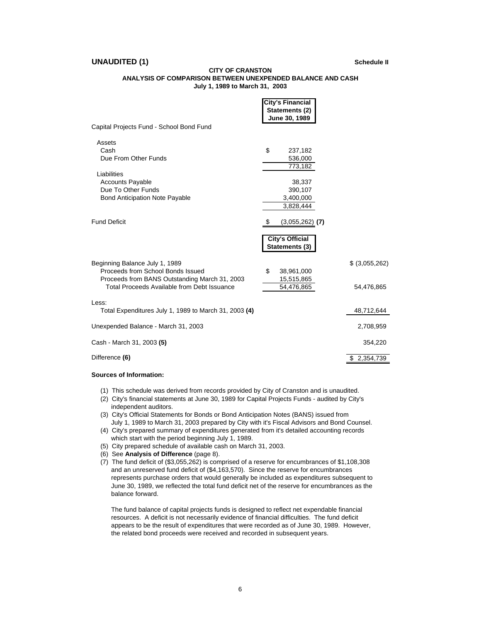### **UNAUDITED (1)** Schedule II

### **CITY OF CRANSTON**

### **ANALYSIS OF COMPARISON BETWEEN UNEXPENDED BALANCE AND CASH July 1, 1989 to March 31, 2003**

|                                                                                                                                                                     | <b>City's Financial</b><br>Statements (2)<br>June 30, 1989 |                               |
|---------------------------------------------------------------------------------------------------------------------------------------------------------------------|------------------------------------------------------------|-------------------------------|
| Capital Projects Fund - School Bond Fund                                                                                                                            |                                                            |                               |
| Assets<br>Cash<br>Due From Other Funds                                                                                                                              | \$<br>237,182<br>536,000<br>773,182                        |                               |
| Liabilities<br><b>Accounts Payable</b><br>Due To Other Funds<br><b>Bond Anticipation Note Payable</b>                                                               | 38,337<br>390,107<br>3,400,000<br>3,828,444                |                               |
| <b>Fund Deficit</b>                                                                                                                                                 | (3,055,262)<br>(7)                                         |                               |
|                                                                                                                                                                     | <b>City's Official</b><br>Statements (3)                   |                               |
| Beginning Balance July 1, 1989<br>Proceeds from School Bonds Issued<br>Proceeds from BANS Outstanding March 31, 2003<br>Total Proceeds Available from Debt Issuance | \$<br>38,961,000<br>15,515,865<br>54,476,865               | $$$ (3,055,262)<br>54,476,865 |
| Less:<br>Total Expenditures July 1, 1989 to March 31, 2003 (4)                                                                                                      |                                                            | 48,712,644                    |
| Unexpended Balance - March 31, 2003                                                                                                                                 |                                                            | 2,708,959                     |
| Cash - March 31, 2003 (5)                                                                                                                                           |                                                            | 354,220                       |
| Difference (6)                                                                                                                                                      |                                                            | \$2,354,739                   |
|                                                                                                                                                                     |                                                            |                               |

### **Sources of Information:**

- (1) This schedule was derived from records provided by City of Cranston and is unaudited.
- (2) City's financial statements at June 30, 1989 for Capital Projects Funds audited by City's independent auditors.
- (3) City's Official Statements for Bonds or Bond Anticipation Notes (BANS) issued from July 1, 1989 to March 31, 2003 prepared by City with it's Fiscal Advisors and Bond Counsel.
- (4) City's prepared summary of expenditures generated from it's detailed accounting records which start with the period beginning July 1, 1989.
- (5) City prepared schedule of available cash on March 31, 2003.
- (6) See **Analysis of Difference** (page 8).
- (7) The fund deficit of (\$3,055,262) is comprised of a reserve for encumbrances of \$1,108,308 and an unreserved fund deficit of (\$4,163,570). Since the reserve for encumbrances represents purchase orders that would generally be included as expenditures subsequent to June 30, 1989, we reflected the total fund deficit net of the reserve for encumbrances as the balance forward.

 The fund balance of capital projects funds is designed to reflect net expendable financial resources. A deficit is not necessarily evidence of financial difficulties. The fund deficit appears to be the result of expenditures that were recorded as of June 30, 1989. However, the related bond proceeds were received and recorded in subsequent years.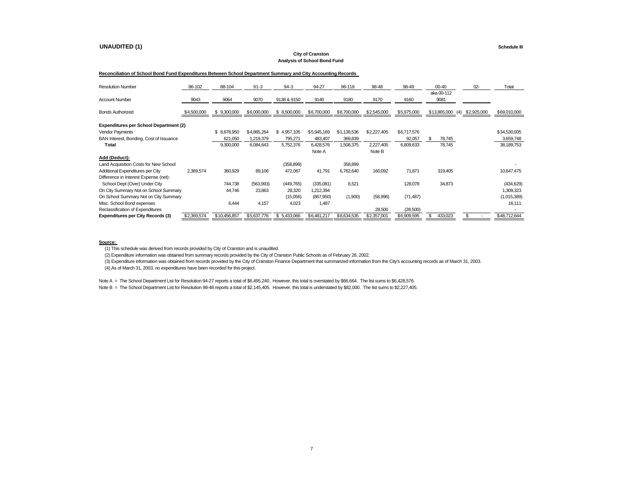### **UNAUDITED (1) Schedule III**

### **City of Cranston Analysis of School Bond Fund**

### **Reconciliation of School Bond Fund Expenditures Between School Department Summary and City Accounting Records**

| <b>Resolution Number</b>                      | 86-102      | 88-104           | $91 - 3$    | $94-3$      | 94-27       | 96-118      | 98-48       | 98-49       | $00 - 40$           | $02 -$      | Total        |
|-----------------------------------------------|-------------|------------------|-------------|-------------|-------------|-------------|-------------|-------------|---------------------|-------------|--------------|
| <b>Account Number</b>                         | 9043        | 9064             | 9070        | 9138 & 9150 | 9140        | 9180        | 9170        | 9160        | aka 00-112<br>9081  |             |              |
| <b>Bonds Authorized</b>                       | \$4,500,000 | 9,300,000<br>\$. | \$6,000,000 | \$8,500,000 | \$6,700,000 | \$8,700,000 | \$2,545,000 | \$5,975,000 | \$13,865,000<br>(4) | \$2,925,000 | \$69,010,000 |
| <b>Expenditures per School Department (2)</b> |             |                  |             |             |             |             |             |             |                     |             |              |
| Vendor Payments                               |             | \$.<br>8,678,950 | \$4,865,264 | \$4,957,105 | \$5,945,169 | \$1,138,536 | \$2,227,405 | \$6,717,576 |                     |             | \$34,530,005 |
| BAN Interest, Bonding, Cost of Issuance       |             | 621,050          | 1,219,379   | 795,271     | 483,407     | 369,839     |             | 92,057      | \$<br>78,745        |             | 3,659,748    |
| <b>Total</b>                                  |             | 9,300,000        | 6,084,643   | 5,752,376   | 6,428,576   | 1,508,375   | 2,227,405   | 6,809,633   | 78,745              |             | 38,189,753   |
|                                               |             |                  |             |             | Note A      |             | Note B      |             |                     |             |              |
| Add (Deduct):                                 |             |                  |             |             |             |             |             |             |                     |             |              |
| Land Acquisition Costs for New School         |             |                  |             | (358, 899)  |             | 358,899     |             |             |                     |             |              |
| Additional Expenditures per City              | 2,369,574   | 360,929          | 89,106      | 472,067     | 41,791      | 6,762,640   | 160,092     | 71,871      | 319,405             |             | 10,647,475   |
| Difference in Interest Expense (net):         |             |                  |             |             |             |             |             |             |                     |             |              |
| School Dept (Over) Under City                 |             | 744,738          | (563,993)   | (449, 765)  | (335,081)   | 6,521       |             | 128,078     | 34,873              |             | (434, 629)   |
| On City Summary Not on School Summary         |             | 44,746           | 23,863      | 28,320      | 1,212,394   |             |             |             |                     |             | 1,309,323    |
| On School Summary Not on City Summary         |             |                  |             | (15,056)    | (867,950)   | (1,900)     | (58,996)    | (71, 487)   |                     |             | (1,015,389)  |
| Misc. School Bond expenses                    |             | 6,444            | 4,157       | 4,023       | 1,487       |             |             |             |                     |             | 16,111       |
| Reclassification of Expenditures              |             |                  |             |             |             |             | 28,500      | (28,500)    |                     |             |              |
| <b>Expenditures per City Records (3)</b>      | \$2,369,574 | \$10,456,857     | \$5,637,776 | \$5,433,066 | \$6,481,217 | \$8,634,535 | \$2,357,001 | \$6,909,595 | 433,023             | \$          | \$48,712,644 |

### **Source:**

(1) This schedule was derived from records provided by City of Cranston and is unaudited.

(2) Expenditure information was obtained from summary records provided by the City of Cranston Public Schools as of February 28, 2002.

(3) Expenditure information was obtained from records provided by the City of Cranston Finance Department that summarized information from the City's accounting records as of March 31, 2003.

(4) As of March 31, 2003, no expenditures have been recorded for this project.

Note A = The School Department List for Resolution 94-27 reports a total of \$6,495,240. However, this total is overstated by \$66,664. The list sums to \$6,428,576.

Note B = The School Department List for Resolution 98-48 reports a total of \$2,145,405. However, this total is understated by \$82,000. The list sums to \$2,227,405.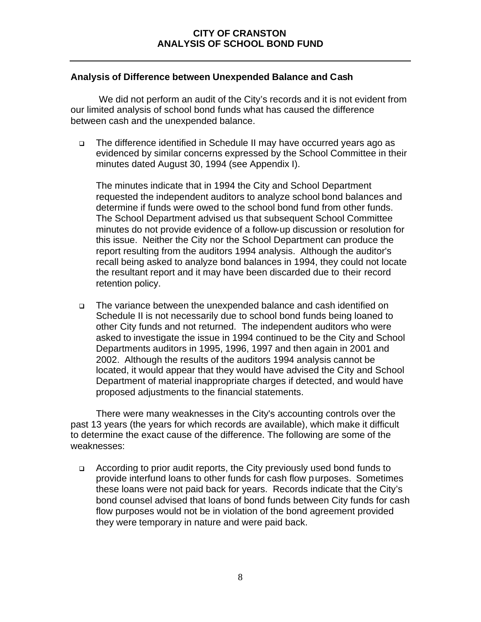### **Analysis of Difference between Unexpended Balance and Cash**

We did not perform an audit of the City's records and it is not evident from our limited analysis of school bond funds what has caused the difference between cash and the unexpended balance.

<sup>q</sup> The difference identified in Schedule II may have occurred years ago as evidenced by similar concerns expressed by the School Committee in their minutes dated August 30, 1994 (see Appendix I).

The minutes indicate that in 1994 the City and School Department requested the independent auditors to analyze school bond balances and determine if funds were owed to the school bond fund from other funds. The School Department advised us that subsequent School Committee minutes do not provide evidence of a follow-up discussion or resolution for this issue. Neither the City nor the School Department can produce the report resulting from the auditors 1994 analysis. Although the auditor's recall being asked to analyze bond balances in 1994, they could not locate the resultant report and it may have been discarded due to their record retention policy.

<sup>q</sup> The variance between the unexpended balance and cash identified on Schedule II is not necessarily due to school bond funds being loaned to other City funds and not returned. The independent auditors who were asked to investigate the issue in 1994 continued to be the City and School Departments auditors in 1995, 1996, 1997 and then again in 2001 and 2002. Although the results of the auditors 1994 analysis cannot be located, it would appear that they would have advised the City and School Department of material inappropriate charges if detected, and would have proposed adjustments to the financial statements.

There were many weaknesses in the City's accounting controls over the past 13 years (the years for which records are available), which make it difficult to determine the exact cause of the difference. The following are some of the weaknesses:

<sup>q</sup> According to prior audit reports, the City previously used bond funds to provide interfund loans to other funds for cash flow purposes. Sometimes these loans were not paid back for years. Records indicate that the City's bond counsel advised that loans of bond funds between City funds for cash flow purposes would not be in violation of the bond agreement provided they were temporary in nature and were paid back.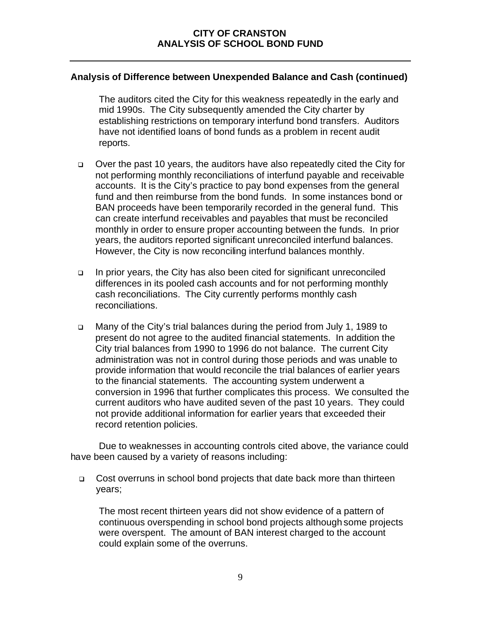### **Analysis of Difference between Unexpended Balance and Cash (continued)**

The auditors cited the City for this weakness repeatedly in the early and mid 1990s. The City subsequently amended the City charter by establishing restrictions on temporary interfund bond transfers. Auditors have not identified loans of bond funds as a problem in recent audit reports.

- <sup>q</sup> Over the past 10 years, the auditors have also repeatedly cited the City for not performing monthly reconciliations of interfund payable and receivable accounts. It is the City's practice to pay bond expenses from the general fund and then reimburse from the bond funds. In some instances bond or BAN proceeds have been temporarily recorded in the general fund. This can create interfund receivables and payables that must be reconciled monthly in order to ensure proper accounting between the funds. In prior years, the auditors reported significant unreconciled interfund balances. However, the City is now reconciling interfund balances monthly.
- <sup>q</sup> In prior years, the City has also been cited for significant unreconciled differences in its pooled cash accounts and for not performing monthly cash reconciliations. The City currently performs monthly cash reconciliations.
- <sup>q</sup> Many of the City's trial balances during the period from July 1, 1989 to present do not agree to the audited financial statements. In addition the City trial balances from 1990 to 1996 do not balance. The current City administration was not in control during those periods and was unable to provide information that would reconcile the trial balances of earlier years to the financial statements. The accounting system underwent a conversion in 1996 that further complicates this process. We consulted the current auditors who have audited seven of the past 10 years. They could not provide additional information for earlier years that exceeded their record retention policies.

Due to weaknesses in accounting controls cited above, the variance could have been caused by a variety of reasons including:

<sup>q</sup> Cost overruns in school bond projects that date back more than thirteen years;

The most recent thirteen years did not show evidence of a pattern of continuous overspending in school bond projects although some projects were overspent. The amount of BAN interest charged to the account could explain some of the overruns.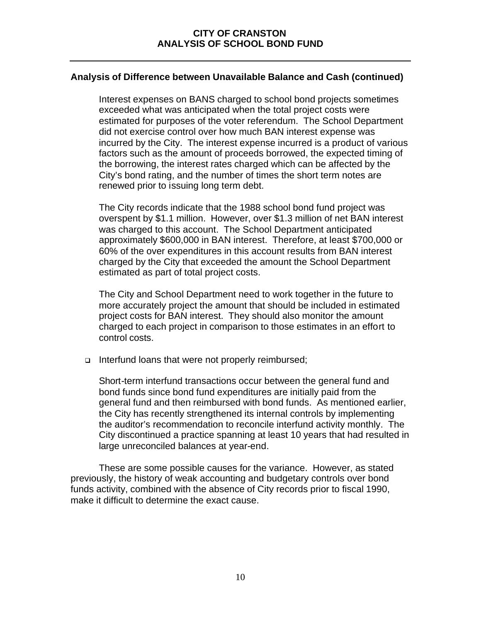### **Analysis of Difference between Unavailable Balance and Cash (continued)**

Interest expenses on BANS charged to school bond projects sometimes exceeded what was anticipated when the total project costs were estimated for purposes of the voter referendum. The School Department did not exercise control over how much BAN interest expense was incurred by the City. The interest expense incurred is a product of various factors such as the amount of proceeds borrowed, the expected timing of the borrowing, the interest rates charged which can be affected by the City's bond rating, and the number of times the short term notes are renewed prior to issuing long term debt.

The City records indicate that the 1988 school bond fund project was overspent by \$1.1 million. However, over \$1.3 million of net BAN interest was charged to this account. The School Department anticipated approximately \$600,000 in BAN interest. Therefore, at least \$700,000 or 60% of the over expenditures in this account results from BAN interest charged by the City that exceeded the amount the School Department estimated as part of total project costs.

The City and School Department need to work together in the future to more accurately project the amount that should be included in estimated project costs for BAN interest. They should also monitor the amount charged to each project in comparison to those estimates in an effort to control costs.

<sup>q</sup> Interfund loans that were not properly reimbursed;

Short-term interfund transactions occur between the general fund and bond funds since bond fund expenditures are initially paid from the general fund and then reimbursed with bond funds. As mentioned earlier, the City has recently strengthened its internal controls by implementing the auditor's recommendation to reconcile interfund activity monthly. The City discontinued a practice spanning at least 10 years that had resulted in large unreconciled balances at year-end.

These are some possible causes for the variance. However, as stated previously, the history of weak accounting and budgetary controls over bond funds activity, combined with the absence of City records prior to fiscal 1990, make it difficult to determine the exact cause.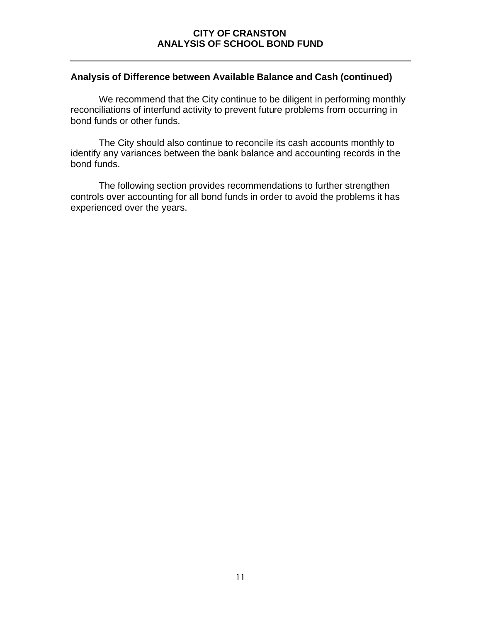### **Analysis of Difference between Available Balance and Cash (continued)**

We recommend that the City continue to be diligent in performing monthly reconciliations of interfund activity to prevent future problems from occurring in bond funds or other funds.

The City should also continue to reconcile its cash accounts monthly to identify any variances between the bank balance and accounting records in the bond funds.

The following section provides recommendations to further strengthen controls over accounting for all bond funds in order to avoid the problems it has experienced over the years.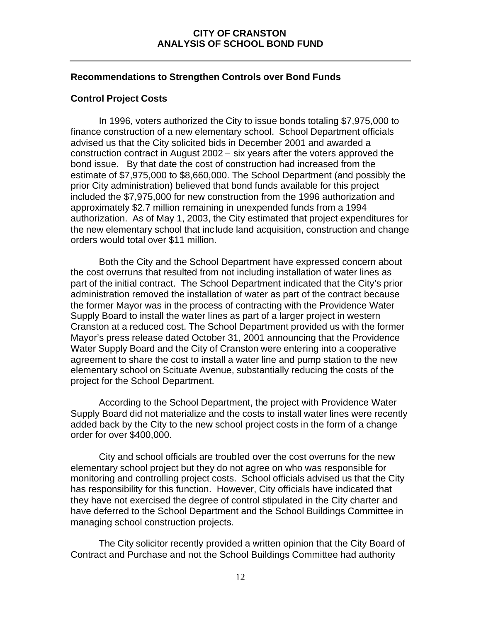### **Recommendations to Strengthen Controls over Bond Funds**

### **Control Project Costs**

In 1996, voters authorized the City to issue bonds totaling \$7,975,000 to finance construction of a new elementary school. School Department officials advised us that the City solicited bids in December 2001 and awarded a construction contract in August 2002 – six years after the voters approved the bond issue. By that date the cost of construction had increased from the estimate of \$7,975,000 to \$8,660,000. The School Department (and possibly the prior City administration) believed that bond funds available for this project included the \$7,975,000 for new construction from the 1996 authorization and approximately \$2.7 million remaining in unexpended funds from a 1994 authorization. As of May 1, 2003, the City estimated that project expenditures for the new elementary school that include land acquisition, construction and change orders would total over \$11 million.

Both the City and the School Department have expressed concern about the cost overruns that resulted from not including installation of water lines as part of the initial contract. The School Department indicated that the City's prior administration removed the installation of water as part of the contract because the former Mayor was in the process of contracting with the Providence Water Supply Board to install the water lines as part of a larger project in western Cranston at a reduced cost. The School Department provided us with the former Mayor's press release dated October 31, 2001 announcing that the Providence Water Supply Board and the City of Cranston were entering into a cooperative agreement to share the cost to install a water line and pump station to the new elementary school on Scituate Avenue, substantially reducing the costs of the project for the School Department.

According to the School Department, the project with Providence Water Supply Board did not materialize and the costs to install water lines were recently added back by the City to the new school project costs in the form of a change order for over \$400,000.

City and school officials are troubled over the cost overruns for the new elementary school project but they do not agree on who was responsible for monitoring and controlling project costs. School officials advised us that the City has responsibility for this function. However, City officials have indicated that they have not exercised the degree of control stipulated in the City charter and have deferred to the School Department and the School Buildings Committee in managing school construction projects.

The City solicitor recently provided a written opinion that the City Board of Contract and Purchase and not the School Buildings Committee had authority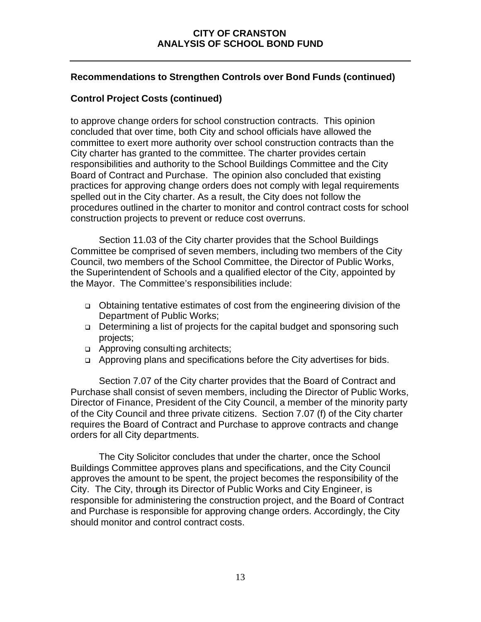### **Recommendations to Strengthen Controls over Bond Funds (continued)**

### **Control Project Costs (continued)**

to approve change orders for school construction contracts. This opinion concluded that over time, both City and school officials have allowed the committee to exert more authority over school construction contracts than the City charter has granted to the committee. The charter provides certain responsibilities and authority to the School Buildings Committee and the City Board of Contract and Purchase. The opinion also concluded that existing practices for approving change orders does not comply with legal requirements spelled out in the City charter. As a result, the City does not follow the procedures outlined in the charter to monitor and control contract costs for school construction projects to prevent or reduce cost overruns.

Section 11.03 of the City charter provides that the School Buildings Committee be comprised of seven members, including two members of the City Council, two members of the School Committee, the Director of Public Works, the Superintendent of Schools and a qualified elector of the City, appointed by the Mayor. The Committee's responsibilities include:

- <sup>q</sup> Obtaining tentative estimates of cost from the engineering division of the Department of Public Works;
- <sup>q</sup> Determining a list of projects for the capital budget and sponsoring such projects;
- □ Approving consulting architects;
- <sup>q</sup> Approving plans and specifications before the City advertises for bids.

Section 7.07 of the City charter provides that the Board of Contract and Purchase shall consist of seven members, including the Director of Public Works, Director of Finance, President of the City Council, a member of the minority party of the City Council and three private citizens. Section 7.07 (f) of the City charter requires the Board of Contract and Purchase to approve contracts and change orders for all City departments.

The City Solicitor concludes that under the charter, once the School Buildings Committee approves plans and specifications, and the City Council approves the amount to be spent, the project becomes the responsibility of the City. The City, through its Director of Public Works and City Engineer, is responsible for administering the construction project, and the Board of Contract and Purchase is responsible for approving change orders. Accordingly, the City should monitor and control contract costs.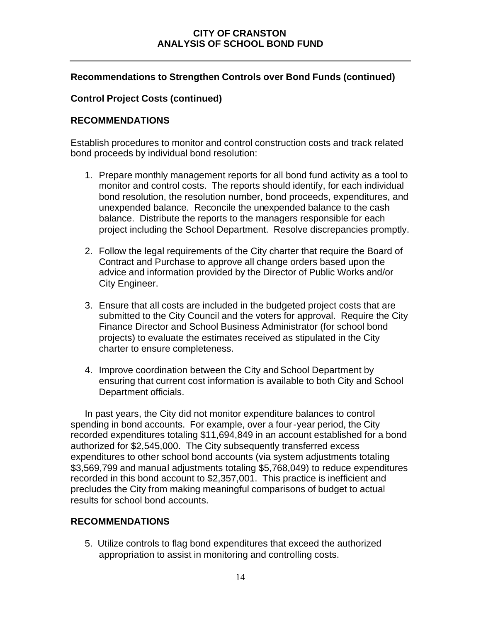### **Recommendations to Strengthen Controls over Bond Funds (continued)**

### **Control Project Costs (continued)**

### **RECOMMENDATIONS**

Establish procedures to monitor and control construction costs and track related bond proceeds by individual bond resolution:

- 1. Prepare monthly management reports for all bond fund activity as a tool to monitor and control costs. The reports should identify, for each individual bond resolution, the resolution number, bond proceeds, expenditures, and unexpended balance. Reconcile the unexpended balance to the cash balance. Distribute the reports to the managers responsible for each project including the School Department. Resolve discrepancies promptly.
- 2. Follow the legal requirements of the City charter that require the Board of Contract and Purchase to approve all change orders based upon the advice and information provided by the Director of Public Works and/or City Engineer.
- 3. Ensure that all costs are included in the budgeted project costs that are submitted to the City Council and the voters for approval. Require the City Finance Director and School Business Administrator (for school bond projects) to evaluate the estimates received as stipulated in the City charter to ensure completeness.
- 4. Improve coordination between the City and School Department by ensuring that current cost information is available to both City and School Department officials.

In past years, the City did not monitor expenditure balances to control spending in bond accounts. For example, over a four-year period, the City recorded expenditures totaling \$11,694,849 in an account established for a bond authorized for \$2,545,000. The City subsequently transferred excess expenditures to other school bond accounts (via system adjustments totaling \$3,569,799 and manual adjustments totaling \$5,768,049) to reduce expenditures recorded in this bond account to \$2,357,001. This practice is inefficient and precludes the City from making meaningful comparisons of budget to actual results for school bond accounts.

### **RECOMMENDATIONS**

5. Utilize controls to flag bond expenditures that exceed the authorized appropriation to assist in monitoring and controlling costs.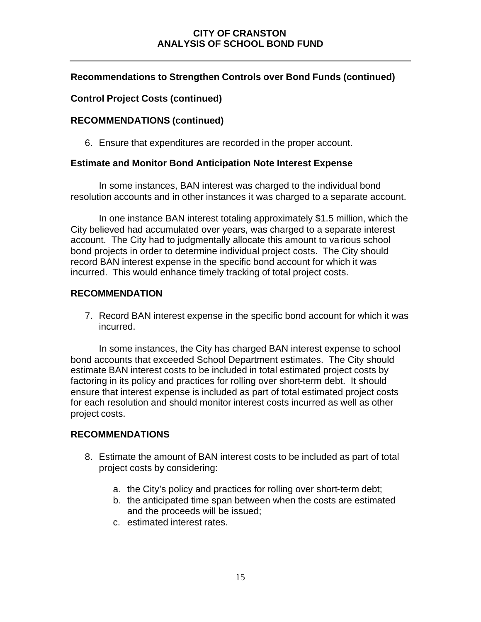## **Recommendations to Strengthen Controls over Bond Funds (continued)**

### **Control Project Costs (continued)**

### **RECOMMENDATIONS (continued)**

6. Ensure that expenditures are recorded in the proper account.

### **Estimate and Monitor Bond Anticipation Note Interest Expense**

In some instances, BAN interest was charged to the individual bond resolution accounts and in other instances it was charged to a separate account.

In one instance BAN interest totaling approximately \$1.5 million, which the City believed had accumulated over years, was charged to a separate interest account. The City had to judgmentally allocate this amount to various school bond projects in order to determine individual project costs. The City should record BAN interest expense in the specific bond account for which it was incurred. This would enhance timely tracking of total project costs.

### **RECOMMENDATION**

7. Record BAN interest expense in the specific bond account for which it was incurred.

In some instances, the City has charged BAN interest expense to school bond accounts that exceeded School Department estimates. The City should estimate BAN interest costs to be included in total estimated project costs by factoring in its policy and practices for rolling over short-term debt. It should ensure that interest expense is included as part of total estimated project costs for each resolution and should monitor interest costs incurred as well as other project costs.

### **RECOMMENDATIONS**

- 8. Estimate the amount of BAN interest costs to be included as part of total project costs by considering:
	- a. the City's policy and practices for rolling over short-term debt;
	- b. the anticipated time span between when the costs are estimated and the proceeds will be issued;
	- c. estimated interest rates.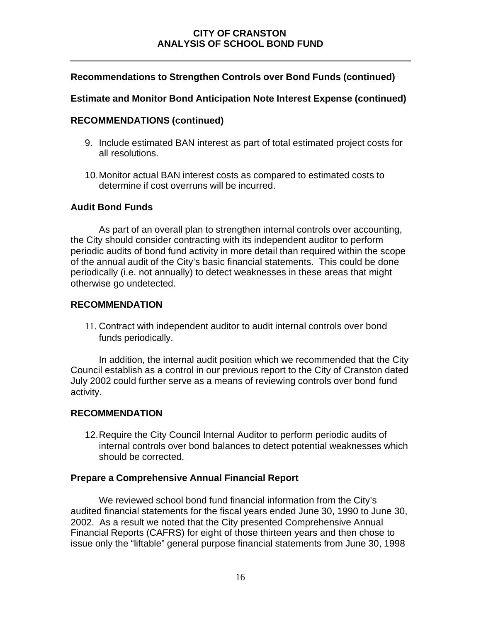### **Recommendations to Strengthen Controls over Bond Funds (continued)**

### **Estimate and Monitor Bond Anticipation Note Interest Expense (continued)**

### **RECOMMENDATIONS (continued)**

- 9. Include estimated BAN interest as part of total estimated project costs for all resolutions.
- 10.Monitor actual BAN interest costs as compared to estimated costs to determine if cost overruns will be incurred.

### **Audit Bond Funds**

As part of an overall plan to strengthen internal controls over accounting, the City should consider contracting with its independent auditor to perform periodic audits of bond fund activity in more detail than required within the scope of the annual audit of the City's basic financial statements. This could be done periodically (i.e. not annually) to detect weaknesses in these areas that might otherwise go undetected.

### **RECOMMENDATION**

11. Contract with independent auditor to audit internal controls over bond funds periodically.

In addition, the internal audit position which we recommended that the City Council establish as a control in our previous report to the City of Cranston dated July 2002 could further serve as a means of reviewing controls over bond fund activity.

### **RECOMMENDATION**

12.Require the City Council Internal Auditor to perform periodic audits of internal controls over bond balances to detect potential weaknesses which should be corrected.

### **Prepare a Comprehensive Annual Financial Report**

We reviewed school bond fund financial information from the City's audited financial statements for the fiscal years ended June 30, 1990 to June 30, 2002. As a result we noted that the City presented Comprehensive Annual Financial Reports (CAFRS) for eight of those thirteen years and then chose to issue only the "liftable" general purpose financial statements from June 30, 1998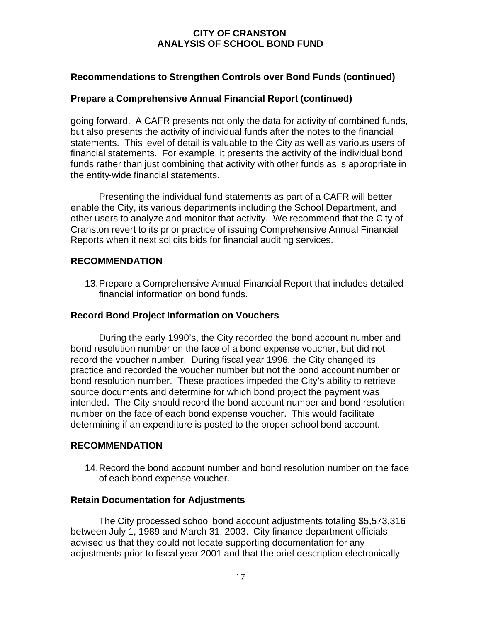### **Recommendations to Strengthen Controls over Bond Funds (continued)**

### **Prepare a Comprehensive Annual Financial Report (continued)**

going forward. A CAFR presents not only the data for activity of combined funds, but also presents the activity of individual funds after the notes to the financial statements. This level of detail is valuable to the City as well as various users of financial statements. For example, it presents the activity of the individual bond funds rather than just combining that activity with other funds as is appropriate in the entity-wide financial statements.

Presenting the individual fund statements as part of a CAFR will better enable the City, its various departments including the School Department, and other users to analyze and monitor that activity. We recommend that the City of Cranston revert to its prior practice of issuing Comprehensive Annual Financial Reports when it next solicits bids for financial auditing services.

### **RECOMMENDATION**

13.Prepare a Comprehensive Annual Financial Report that includes detailed financial information on bond funds.

### **Record Bond Project Information on Vouchers**

During the early 1990's, the City recorded the bond account number and bond resolution number on the face of a bond expense voucher, but did not record the voucher number. During fiscal year 1996, the City changed its practice and recorded the voucher number but not the bond account number or bond resolution number. These practices impeded the City's ability to retrieve source documents and determine for which bond project the payment was intended. The City should record the bond account number and bond resolution number on the face of each bond expense voucher. This would facilitate determining if an expenditure is posted to the proper school bond account.

### **RECOMMENDATION**

14.Record the bond account number and bond resolution number on the face of each bond expense voucher.

### **Retain Documentation for Adjustments**

The City processed school bond account adjustments totaling \$5,573,316 between July 1, 1989 and March 31, 2003. City finance department officials advised us that they could not locate supporting documentation for any adjustments prior to fiscal year 2001 and that the brief description electronically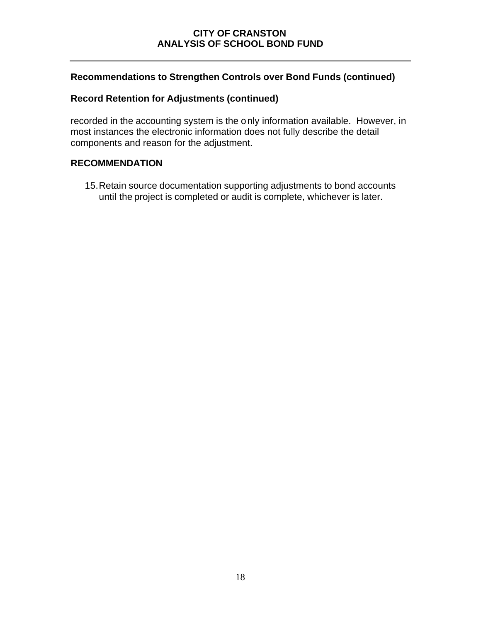### **Recommendations to Strengthen Controls over Bond Funds (continued)**

### **Record Retention for Adjustments (continued)**

recorded in the accounting system is the only information available. However, in most instances the electronic information does not fully describe the detail components and reason for the adjustment.

### **RECOMMENDATION**

15.Retain source documentation supporting adjustments to bond accounts until the project is completed or audit is complete, whichever is later.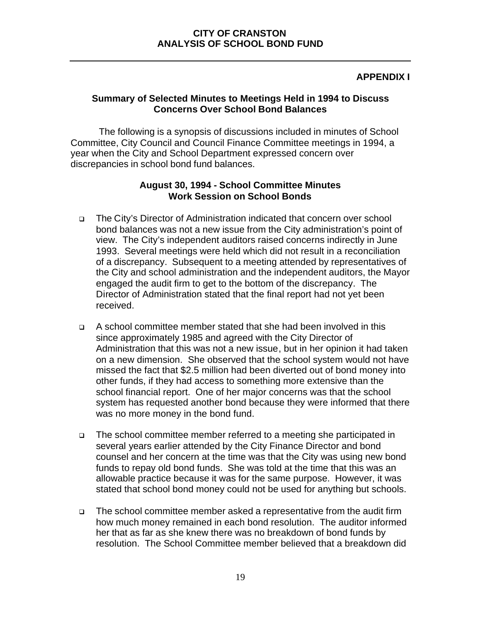### **APPENDIX I**

### **Summary of Selected Minutes to Meetings Held in 1994 to Discuss Concerns Over School Bond Balances**

The following is a synopsis of discussions included in minutes of School Committee, City Council and Council Finance Committee meetings in 1994, a year when the City and School Department expressed concern over discrepancies in school bond fund balances.

### **August 30, 1994 - School Committee Minutes Work Session on School Bonds**

- <sup>q</sup> The City's Director of Administration indicated that concern over school bond balances was not a new issue from the City administration's point of view. The City's independent auditors raised concerns indirectly in June 1993. Several meetings were held which did not result in a reconciliation of a discrepancy. Subsequent to a meeting attended by representatives of the City and school administration and the independent auditors, the Mayor engaged the audit firm to get to the bottom of the discrepancy. The Director of Administration stated that the final report had not yet been received.
- <sup>q</sup> A school committee member stated that she had been involved in this since approximately 1985 and agreed with the City Director of Administration that this was not a new issue, but in her opinion it had taken on a new dimension. She observed that the school system would not have missed the fact that \$2.5 million had been diverted out of bond money into other funds, if they had access to something more extensive than the school financial report. One of her major concerns was that the school system has requested another bond because they were informed that there was no more money in the bond fund.
- <sup>q</sup> The school committee member referred to a meeting she participated in several years earlier attended by the City Finance Director and bond counsel and her concern at the time was that the City was using new bond funds to repay old bond funds. She was told at the time that this was an allowable practice because it was for the same purpose. However, it was stated that school bond money could not be used for anything but schools.
- <sup>q</sup> The school committee member asked a representative from the audit firm how much money remained in each bond resolution. The auditor informed her that as far as she knew there was no breakdown of bond funds by resolution. The School Committee member believed that a breakdown did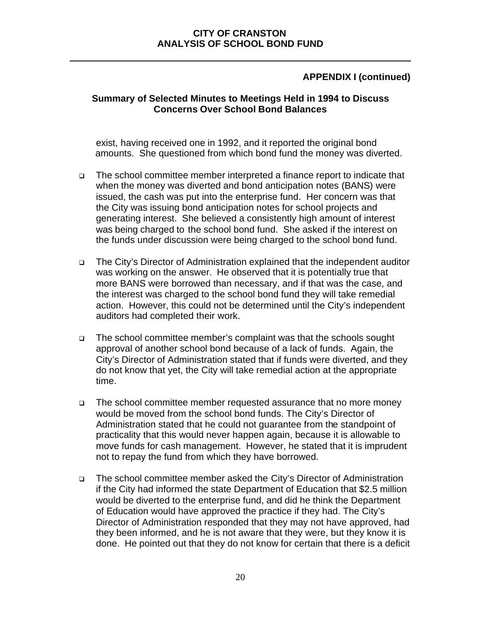### **Summary of Selected Minutes to Meetings Held in 1994 to Discuss Concerns Over School Bond Balances**

exist, having received one in 1992, and it reported the original bond amounts. She questioned from which bond fund the money was diverted.

- <sup>q</sup> The school committee member interpreted a finance report to indicate that when the money was diverted and bond anticipation notes (BANS) were issued, the cash was put into the enterprise fund. Her concern was that the City was issuing bond anticipation notes for school projects and generating interest. She believed a consistently high amount of interest was being charged to the school bond fund. She asked if the interest on the funds under discussion were being charged to the school bond fund.
- <sup>q</sup> The City's Director of Administration explained that the independent auditor was working on the answer. He observed that it is potentially true that more BANS were borrowed than necessary, and if that was the case, and the interest was charged to the school bond fund they will take remedial action. However, this could not be determined until the City's independent auditors had completed their work.
- <sup>q</sup> The school committee member's complaint was that the schools sought approval of another school bond because of a lack of funds. Again, the City's Director of Administration stated that if funds were diverted, and they do not know that yet, the City will take remedial action at the appropriate time.
- <sup>q</sup> The school committee member requested assurance that no more money would be moved from the school bond funds. The City's Director of Administration stated that he could not guarantee from the standpoint of practicality that this would never happen again, because it is allowable to move funds for cash management. However, he stated that it is imprudent not to repay the fund from which they have borrowed.
- <sup>q</sup> The school committee member asked the City's Director of Administration if the City had informed the state Department of Education that \$2.5 million would be diverted to the enterprise fund, and did he think the Department of Education would have approved the practice if they had. The City's Director of Administration responded that they may not have approved, had they been informed, and he is not aware that they were, but they know it is done. He pointed out that they do not know for certain that there is a deficit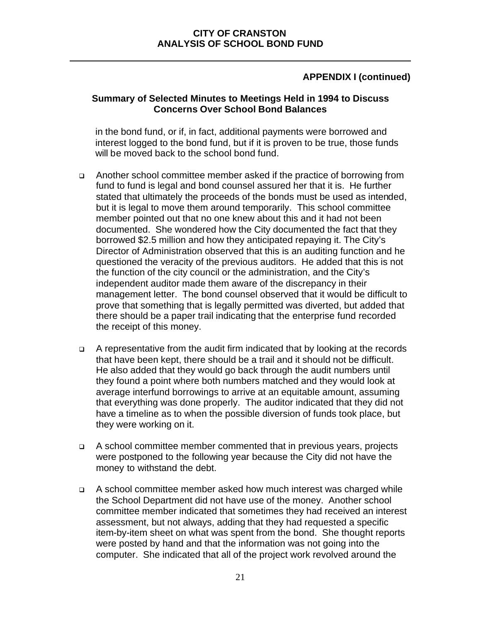### **Summary of Selected Minutes to Meetings Held in 1994 to Discuss Concerns Over School Bond Balances**

in the bond fund, or if, in fact, additional payments were borrowed and interest logged to the bond fund, but if it is proven to be true, those funds will be moved back to the school bond fund.

- <sup>q</sup> Another school committee member asked if the practice of borrowing from fund to fund is legal and bond counsel assured her that it is. He further stated that ultimately the proceeds of the bonds must be used as intended, but it is legal to move them around temporarily. This school committee member pointed out that no one knew about this and it had not been documented. She wondered how the City documented the fact that they borrowed \$2.5 million and how they anticipated repaying it. The City's Director of Administration observed that this is an auditing function and he questioned the veracity of the previous auditors. He added that this is not the function of the city council or the administration, and the City's independent auditor made them aware of the discrepancy in their management letter. The bond counsel observed that it would be difficult to prove that something that is legally permitted was diverted, but added that there should be a paper trail indicating that the enterprise fund recorded the receipt of this money.
- <sup>q</sup> A representative from the audit firm indicated that by looking at the records that have been kept, there should be a trail and it should not be difficult. He also added that they would go back through the audit numbers until they found a point where both numbers matched and they would look at average interfund borrowings to arrive at an equitable amount, assuming that everything was done properly. The auditor indicated that they did not have a timeline as to when the possible diversion of funds took place, but they were working on it.
- <sup>q</sup> A school committee member commented that in previous years, projects were postponed to the following year because the City did not have the money to withstand the debt.
- <sup>q</sup> A school committee member asked how much interest was charged while the School Department did not have use of the money. Another school committee member indicated that sometimes they had received an interest assessment, but not always, adding that they had requested a specific item-by-item sheet on what was spent from the bond. She thought reports were posted by hand and that the information was not going into the computer. She indicated that all of the project work revolved around the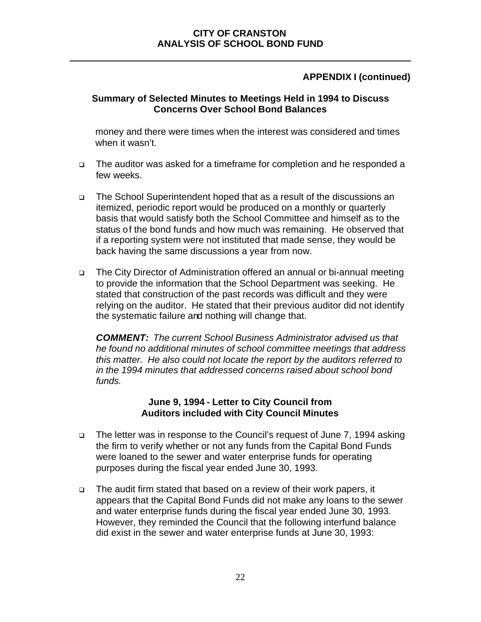### **Summary of Selected Minutes to Meetings Held in 1994 to Discuss Concerns Over School Bond Balances**

money and there were times when the interest was considered and times when it wasn't.

- <sup>q</sup> The auditor was asked for a timeframe for completion and he responded a few weeks.
- <sup>q</sup> The School Superintendent hoped that as a result of the discussions an itemized, periodic report would be produced on a monthly or quarterly basis that would satisfy both the School Committee and himself as to the status of the bond funds and how much was remaining. He observed that if a reporting system were not instituted that made sense, they would be back having the same discussions a year from now.
- <sup>q</sup> The City Director of Administration offered an annual or bi-annual meeting to provide the information that the School Department was seeking. He stated that construction of the past records was difficult and they were relying on the auditor. He stated that their previous auditor did not identify the systematic failure and nothing will change that.

*COMMENT: The current School Business Administrator advised us that he found no additional minutes of school committee meetings that address this matter. He also could not locate the report by the auditors referred to in the 1994 minutes that addressed concerns raised about school bond funds.*

### **June 9, 1994 - Letter to City Council from Auditors included with City Council Minutes**

- □ The letter was in response to the Council's request of June 7, 1994 asking the firm to verify whether or not any funds from the Capital Bond Funds were loaned to the sewer and water enterprise funds for operating purposes during the fiscal year ended June 30, 1993.
- <sup>q</sup> The audit firm stated that based on a review of their work papers, it appears that the Capital Bond Funds did not make any loans to the sewer and water enterprise funds during the fiscal year ended June 30, 1993. However, they reminded the Council that the following interfund balance did exist in the sewer and water enterprise funds at June 30, 1993: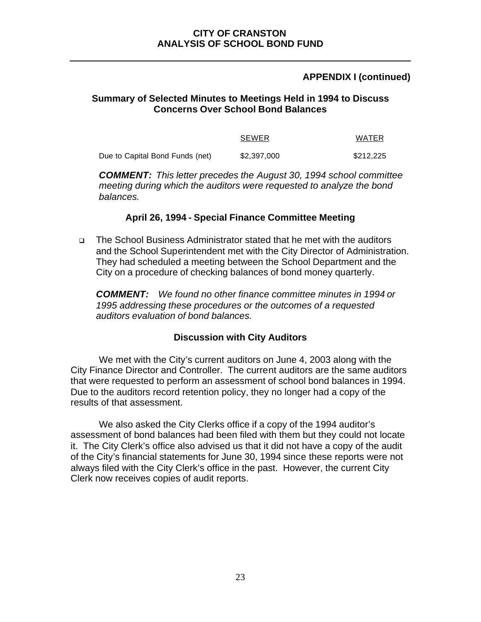### **Summary of Selected Minutes to Meetings Held in 1994 to Discuss Concerns Over School Bond Balances**

|                                 | <b>SEWER</b> | WATER     |
|---------------------------------|--------------|-----------|
| Due to Capital Bond Funds (net) | \$2,397,000  | \$212,225 |

*COMMENT: This letter precedes the August 30, 1994 school committee meeting during which the auditors were requested to analyze the bond balances.* 

### **April 26, 1994 - Special Finance Committee Meeting**

<sup>q</sup> The School Business Administrator stated that he met with the auditors and the School Superintendent met with the City Director of Administration. They had scheduled a meeting between the School Department and the City on a procedure of checking balances of bond money quarterly.

*COMMENT: We found no other finance committee minutes in 1994 or 1995 addressing these procedures or the outcomes of a requested auditors evaluation of bond balances.*

### **Discussion with City Auditors**

We met with the City's current auditors on June 4, 2003 along with the City Finance Director and Controller. The current auditors are the same auditors that were requested to perform an assessment of school bond balances in 1994. Due to the auditors record retention policy, they no longer had a copy of the results of that assessment.

We also asked the City Clerks office if a copy of the 1994 auditor's assessment of bond balances had been filed with them but they could not locate it. The City Clerk's office also advised us that it did not have a copy of the audit of the City's financial statements for June 30, 1994 since these reports were not always filed with the City Clerk's office in the past. However, the current City Clerk now receives copies of audit reports.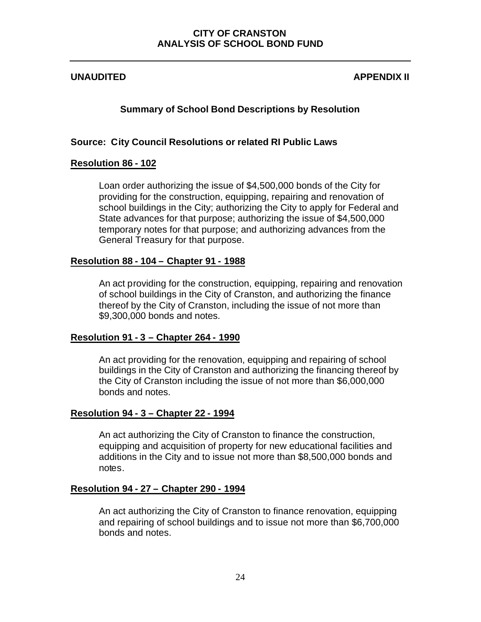### **UNAUDITED APPENDIX II**

### **Summary of School Bond Descriptions by Resolution**

### **Source: City Council Resolutions or related RI Public Laws**

### **Resolution 86 - 102**

Loan order authorizing the issue of \$4,500,000 bonds of the City for providing for the construction, equipping, repairing and renovation of school buildings in the City; authorizing the City to apply for Federal and State advances for that purpose; authorizing the issue of \$4,500,000 temporary notes for that purpose; and authorizing advances from the General Treasury for that purpose.

### **Resolution 88 - 104 – Chapter 91 - 1988**

An act providing for the construction, equipping, repairing and renovation of school buildings in the City of Cranston, and authorizing the finance thereof by the City of Cranston, including the issue of not more than \$9,300,000 bonds and notes.

### **Resolution 91 - 3 – Chapter 264 - 1990**

An act providing for the renovation, equipping and repairing of school buildings in the City of Cranston and authorizing the financing thereof by the City of Cranston including the issue of not more than \$6,000,000 bonds and notes.

### **Resolution 94 - 3 – Chapter 22 - 1994**

An act authorizing the City of Cranston to finance the construction, equipping and acquisition of property for new educational facilities and additions in the City and to issue not more than \$8,500,000 bonds and notes.

### **Resolution 94 - 27 – Chapter 290 - 1994**

An act authorizing the City of Cranston to finance renovation, equipping and repairing of school buildings and to issue not more than \$6,700,000 bonds and notes.